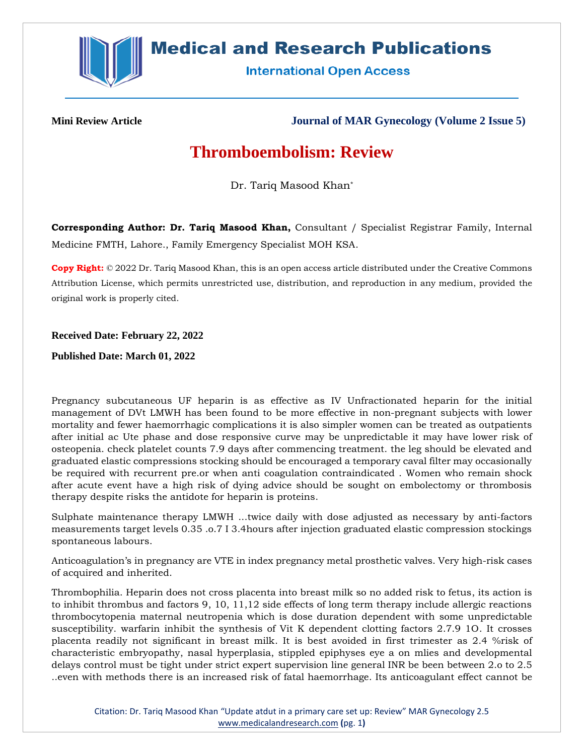

## **Medical and Research Publications**

**International Open Access** 

**Mini Review Article Journal of MAR Gynecology (Volume 2 Issue 5)**

## **Thromboembolism: Review**

Dr. Tariq Masood Khan\*

**Corresponding Author: Dr. Tariq Masood Khan,** Consultant / Specialist Registrar Family, Internal Medicine FMTH, Lahore., Family Emergency Specialist MOH KSA.

**Copy Right:** © 2022 Dr. Tariq Masood Khan, this is an open access article distributed under the Creative Commons Attribution License, which permits unrestricted use, distribution, and reproduction in any medium, provided the original work is properly cited.

## **Received Date: February 22, 2022**

**Published Date: March 01, 2022**

Pregnancy subcutaneous UF heparin is as effective as IV Unfractionated heparin for the initial management of DVt LMWH has been found to be more effective in non-pregnant subjects with lower mortality and fewer haemorrhagic complications it is also simpler women can be treated as outpatients after initial ac Ute phase and dose responsive curve may be unpredictable it may have lower risk of osteopenia. check platelet counts 7.9 days after commencing treatment. the leg should be elevated and graduated elastic compressions stocking should be encouraged a temporary caval filter may occasionally be required with recurrent pre.or when anti coagulation contraindicated . Women who remain shock after acute event have a high risk of dying advice should be sought on embolectomy or thrombosis therapy despite risks the antidote for heparin is proteins.

Sulphate maintenance therapy LMWH ...twice daily with dose adjusted as necessary by anti-factors measurements target levels 0.35 .o.7 I 3.4hours after injection graduated elastic compression stockings spontaneous labours.

Anticoagulation's in pregnancy are VTE in index pregnancy metal prosthetic valves. Very high-risk cases of acquired and inherited.

Thrombophilia. Heparin does not cross placenta into breast milk so no added risk to fetus, its action is to inhibit thrombus and factors 9, 10, 11,12 side effects of long term therapy include allergic reactions thrombocytopenia maternal neutropenia which is dose duration dependent with some unpredictable susceptibility. warfarin inhibit the synthesis of Vit K dependent clotting factors 2.7.9 1O. It crosses placenta readily not significant in breast milk. It is best avoided in first trimester as 2.4 %risk of characteristic embryopathy, nasal hyperplasia, stippled epiphyses eye a on mlies and developmental delays control must be tight under strict expert supervision line general INR be been between 2.o to 2.5 ..even with methods there is an increased risk of fatal haemorrhage. Its anticoagulant effect cannot be